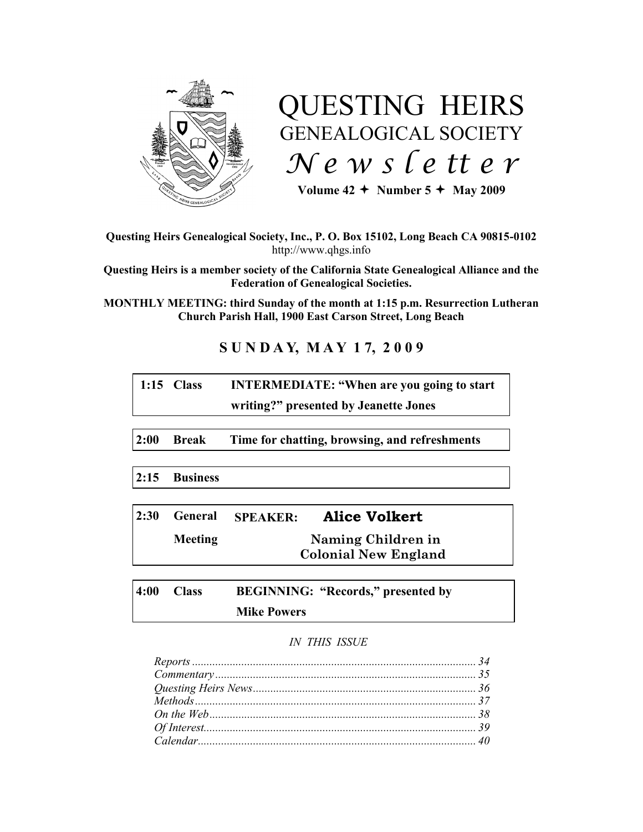

# QUESTING HEIRS GENEALOGICAL SOCIETY *N e w s l e tt e r*

Volume  $42 +$  Number  $5 +$  May 2009

**Questing Heirs Genealogical Society, Inc., P. O. Box 15102, Long Beach CA 90815-0102** http://www.qhgs.info

**Questing Heirs is a member society of the California State Genealogical Alliance and the Federation of Genealogical Societies.**

**MONTHLY MEETING: third Sunday of the month at 1:15 p.m. Resurrection Lutheran Church Parish Hall, 1900 East Carson Street, Long Beach** 

# **S U N D A Y, M A Y 1 7, 2 0 0 9**

| 1:15 $Class$ | <b>INTERMEDIATE: "When are you going to start</b> |
|--------------|---------------------------------------------------|
|              | writing?" presented by Jeanette Jones             |

**2:00 Break Time for chatting, browsing, and refreshments**

**2:15 Business**

| 2:30 | General        | <b>SPEAKER:</b> | <b>Alice Volkert</b>        |
|------|----------------|-----------------|-----------------------------|
|      | <b>Meeting</b> |                 | Naming Children in          |
|      |                |                 | <b>Colonial New England</b> |

**4:00 Class BEGINNING: "Records," presented by Mike Powers**

# *IN THIS ISSUE*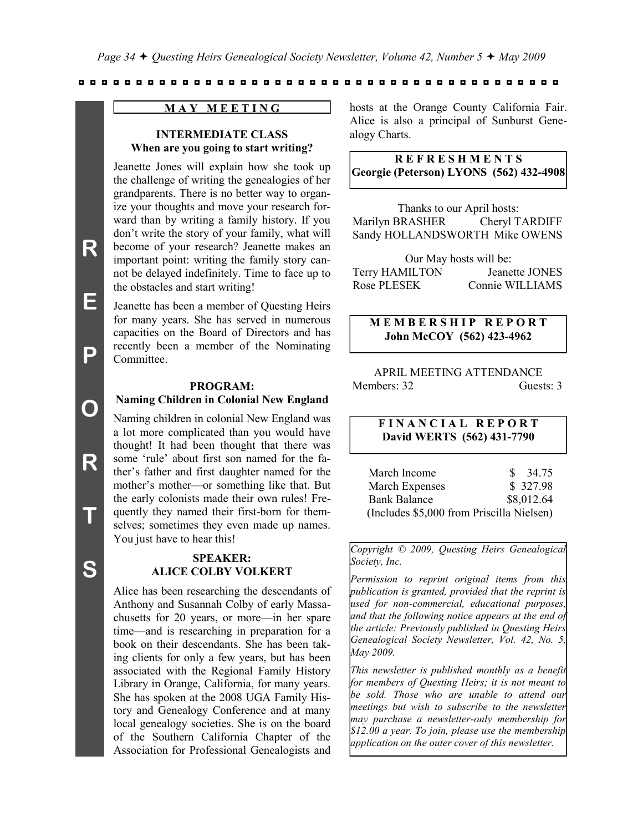#### **M A Y M E E T I N G**

# **INTERMEDIATE CLASS When are you going to start writing?**

Jeanette Jones will explain how she took up the challenge of writing the genealogies of her grandparents. There is no better way to organize your thoughts and move your research forward than by writing a family history. If you don't write the story of your family, what will become of your research? Jeanette makes an important point: writing the family story cannot be delayed indefinitely. Time to face up to the obstacles and start writing!

Jeanette has been a member of Questing Heirs for many years. She has served in numerous capacities on the Board of Directors and has recently been a member of the Nominating Committee.

#### **PROGRAM: Naming Children in Colonial New England**

Naming children in colonial New England was a lot more complicated than you would have thought! It had been thought that there was some 'rule' about first son named for the father's father and first daughter named for the mother's mother—or something like that. But the early colonists made their own rules! Frequently they named their first-born for themselves; sometimes they even made up names. You just have to hear this!

# **SPEAKER: ALICE COLBY VOLKERT**

Alice has been researching the descendants of Anthony and Susannah Colby of early Massachusetts for 20 years, or more—in her spare time—and is researching in preparation for a book on their descendants. She has been taking clients for only a few years, but has been associated with the Regional Family History Library in Orange, California, for many years. She has spoken at the 2008 UGA Family History and Genealogy Conference and at many local genealogy societies. She is on the board of the Southern California Chapter of the Association for Professional Genealogists and

hosts at the Orange County California Fair. Alice is also a principal of Sunburst Genealogy Charts.

# **R E F R E S H M E N T S Georgie (Peterson) LYONS (562) 432-4908**

Thanks to our April hosts: Marilyn BRASHER Cheryl TARDIFF Sandy HOLLANDSWORTH Mike OWENS

Our May hosts will be: Terry HAMILTON Jeanette JONES Rose PLESEK Connie WILLIAMS

# **M E M B E R S H I P R E P O R T John McCOY (562) 423-4962**

# APRIL MEETING ATTENDANCE Members: 32 Guests: 3

# **F I N A N C I A L R E P O R T David WERTS (562) 431-7790**

| March Income                              | \$<br>34.75 |
|-------------------------------------------|-------------|
| March Expenses                            | \$ 327.98   |
| <b>Bank Balance</b>                       | \$8,012.64  |
| (Includes \$5,000 from Priscilla Nielsen) |             |

*Copyright © 2009, Questing Heirs Genealogical Society, Inc.*

*Permission to reprint original items from this publication is granted, provided that the reprint is used for non-commercial, educational purposes, and that the following notice appears at the end of the article: Previously published in Questing Heirs Genealogical Society Newsletter, Vol. 42, No. 5, May 2009.*

*This newsletter is published monthly as a benefit for members of Questing Heirs; it is not meant to be sold. Those who are unable to attend our meetings but wish to subscribe to the newsletter may purchase a newsletter-only membership for \$12.00 a year. To join, please use the membership application on the outer cover of this newsletter.*

**E**

**P**

**O**

**R**

**T**

**S**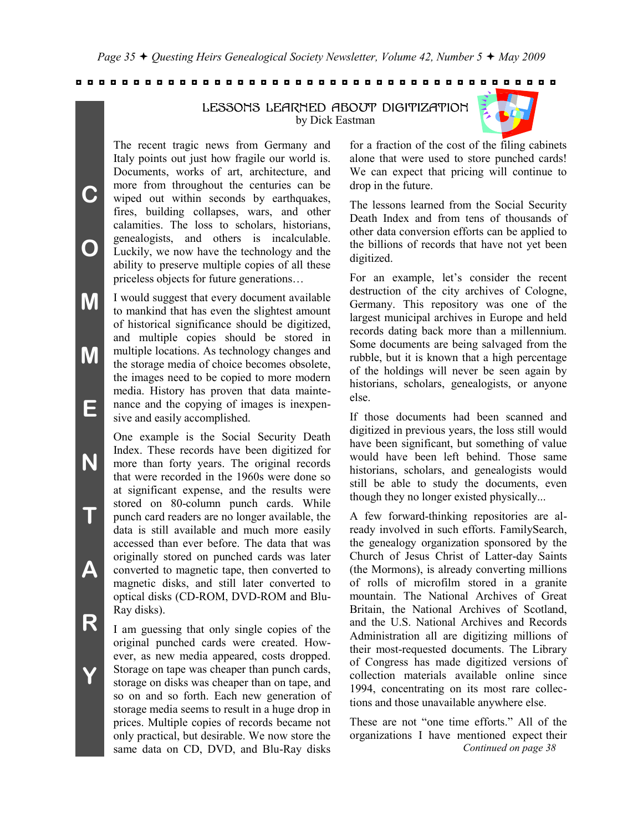LESSONS LEARNED ABOUT DIGITIZATION

by Dick Eastman



**M M E** I would suggest that every document available to mankind that has even the slightest amount of historical significance should be digitized, and multiple copies should be stored in multiple locations. As technology changes and the storage media of choice becomes obsolete, the images need to be copied to more modern media. History has proven that data maintenance and the copying of images is inexpensive and easily accomplished.

> One example is the Social Security Death Index. These records have been digitized for more than forty years. The original records that were recorded in the 1960s were done so at significant expense, and the results were stored on 80-column punch cards. While punch card readers are no longer available, the data is still available and much more easily accessed than ever before. The data that was originally stored on punched cards was later converted to magnetic tape, then converted to magnetic disks, and still later converted to optical disks (CD-ROM, DVD-ROM and Blu-Ray disks).

> I am guessing that only single copies of the original punched cards were created. However, as new media appeared, costs dropped. Storage on tape was cheaper than punch cards, storage on disks was cheaper than on tape, and so on and so forth. Each new generation of storage media seems to result in a huge drop in prices. Multiple copies of records became not only practical, but desirable. We now store the same data on CD, DVD, and Blu-Ray disks

for a fraction of the cost of the filing cabinets alone that were used to store punched cards! We can expect that pricing will continue to drop in the future.

The lessons learned from the Social Security Death Index and from tens of thousands of other data conversion efforts can be applied to the billions of records that have not yet been digitized.

For an example, let's consider the recent destruction of the city archives of Cologne, Germany. This repository was one of the largest municipal archives in Europe and held records dating back more than a millennium. Some documents are being salvaged from the rubble, but it is known that a high percentage of the holdings will never be seen again by historians, scholars, genealogists, or anyone else.

If those documents had been scanned and digitized in previous years, the loss still would have been significant, but something of value would have been left behind. Those same historians, scholars, and genealogists would still be able to study the documents, even though they no longer existed physically...

A few forward-thinking repositories are already involved in such efforts. FamilySearch, the genealogy organization sponsored by the Church of Jesus Christ of Latter-day Saints (the Mormons), is already converting millions of rolls of microfilm stored in a granite mountain. The National Archives of Great Britain, the National Archives of Scotland, and the U.S. National Archives and Records Administration all are digitizing millions of their most-requested documents. The Library of Congress has made digitized versions of collection materials available online since 1994, concentrating on its most rare collections and those unavailable anywhere else.

These are not "one time efforts." All of the organizations I have mentioned expect their *Continued on page 38*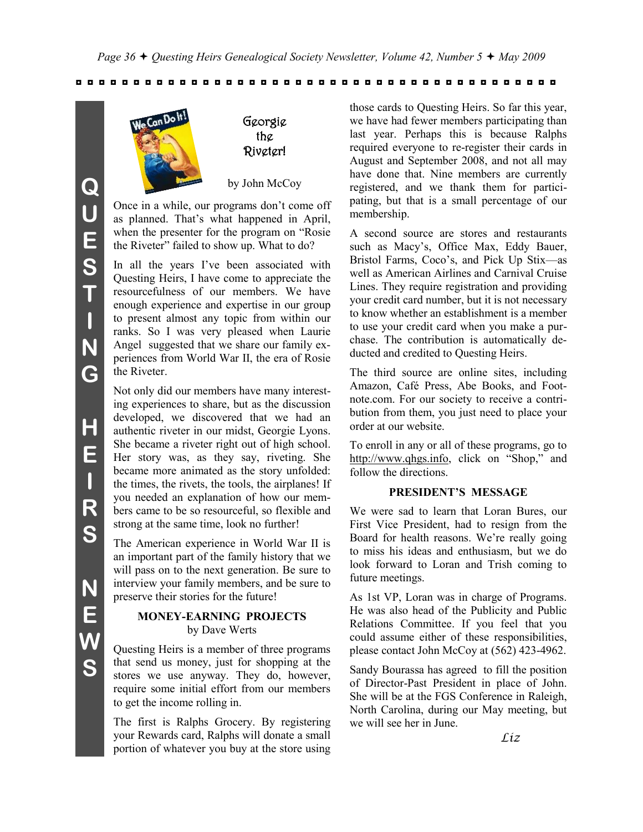

Georgie the Riveter!

by John McCoy

Once in a while, our programs don't come off as planned. That's what happened in April, when the presenter for the program on "Rosie" the Riveter" failed to show up. What to do?

In all the years I've been associated with Questing Heirs, I have come to appreciate the resourcefulness of our members. We have enough experience and expertise in our group to present almost any topic from within our ranks. So I was very pleased when Laurie Angel suggested that we share our family experiences from World War II, the era of Rosie the Riveter.

Not only did our members have many interesting experiences to share, but as the discussion developed, we discovered that we had an authentic riveter in our midst, Georgie Lyons. She became a riveter right out of high school. Her story was, as they say, riveting. She became more animated as the story unfolded: the times, the rivets, the tools, the airplanes! If you needed an explanation of how our members came to be so resourceful, so flexible and strong at the same time, look no further!

The American experience in World War II is an important part of the family history that we will pass on to the next generation. Be sure to interview your family members, and be sure to preserve their stories for the future!

## **MONEY-EARNING PROJECTS** by Dave Werts

Questing Heirs is a member of three programs that send us money, just for shopping at the stores we use anyway. They do, however, require some initial effort from our members to get the income rolling in.

The first is Ralphs Grocery. By registering your Rewards card, Ralphs will donate a small portion of whatever you buy at the store using

those cards to Questing Heirs. So far this year, we have had fewer members participating than last year. Perhaps this is because Ralphs required everyone to re-register their cards in August and September 2008, and not all may have done that. Nine members are currently registered, and we thank them for participating, but that is a small percentage of our membership.

A second source are stores and restaurants such as Macy's, Office Max, Eddy Bauer, Bristol Farms, Coco's, and Pick Up Stix—as well as American Airlines and Carnival Cruise Lines. They require registration and providing your credit card number, but it is not necessary to know whether an establishment is a member to use your credit card when you make a purchase. The contribution is automatically deducted and credited to Questing Heirs.

The third source are online sites, including Amazon, Café Press, Abe Books, and Footnote.com. For our society to receive a contribution from them, you just need to place your order at our website.

To enroll in any or all of these programs, go to http://www.qhgs.info, click on "Shop," and follow the directions.

# **PRESIDENT'S MESSAGE**

We were sad to learn that Loran Bures, our First Vice President, had to resign from the Board for health reasons. We're really going to miss his ideas and enthusiasm, but we do look forward to Loran and Trish coming to future meetings.

As 1st VP, Loran was in charge of Programs. He was also head of the Publicity and Public Relations Committee. If you feel that you could assume either of these responsibilities, please contact John McCoy at (562) 423-4962.

Sandy Bourassa has agreed to fill the position of Director-Past President in place of John. She will be at the FGS Conference in Raleigh, North Carolina, during our May meeting, but we will see her in June.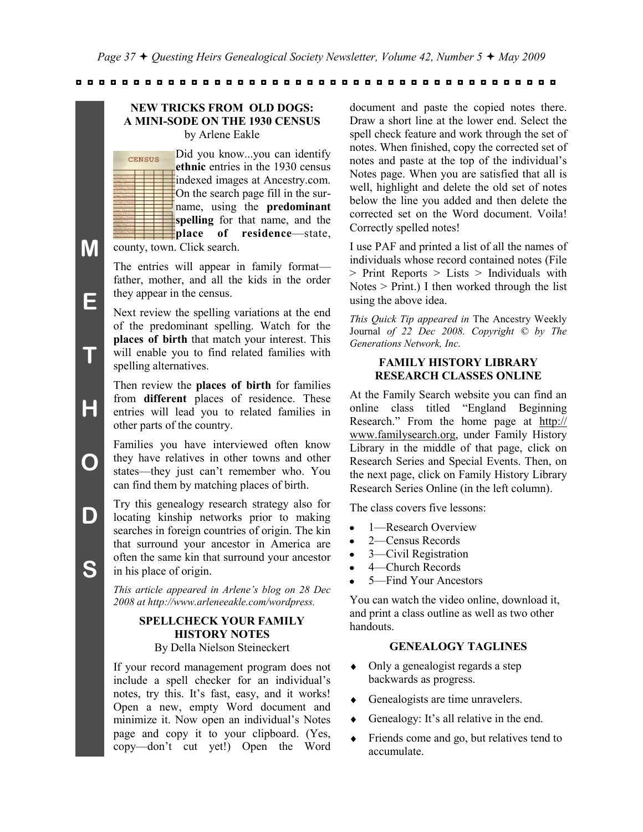#### **NEW TRICKS FROM OLD DOGS: A MINI-SODE ON THE 1930 CENSUS** by Arlene Eakle

Did you know...you can identify **CENSUS ethnic** entries in the 1930 census indexed images at Ancestry.com. On the search page fill in the surname, using the **predominant spelling** for that name, and the **place of residence**—state, county, town. Click search.

The entries will appear in family format father, mother, and all the kids in the order they appear in the census.

**M**

**E**

**T**

**H**

**O**

**D**

**S**

Next review the spelling variations at the end of the predominant spelling. Watch for the **places of birth** that match your interest. This will enable you to find related families with spelling alternatives.

Then review the **places of birth** for families from **different** places of residence. These entries will lead you to related families in other parts of the country.

Families you have interviewed often know they have relatives in other towns and other states—they just can't remember who. You can find them by matching places of birth.

Try this genealogy research strategy also for locating kinship networks prior to making searches in foreign countries of origin. The kin that surround your ancestor in America are often the same kin that surround your ancestor in his place of origin.

*This article appeared in Arlene's blog on 28 Dec 2008 at http://www.arleneeakle.com/wordpress.*

# **SPELLCHECK YOUR FAMILY HISTORY NOTES**

By Della Nielson Steineckert

If your record management program does not include a spell checker for an individual's notes, try this. It's fast, easy, and it works! Open a new, empty Word document and minimize it. Now open an individual's Notes page and copy it to your clipboard. (Yes, copy—don't cut yet!) Open the Word

document and paste the copied notes there. Draw a short line at the lower end. Select the spell check feature and work through the set of notes. When finished, copy the corrected set of notes and paste at the top of the individual's Notes page. When you are satisfied that all is well, highlight and delete the old set of notes below the line you added and then delete the corrected set on the Word document. Voila! Correctly spelled notes!

I use PAF and printed a list of all the names of individuals whose record contained notes (File > Print Reports > Lists > Individuals with Notes > Print.) I then worked through the list using the above idea.

*This Quick Tip appeared in* The Ancestry Weekly Journal *of 22 Dec 2008. Copyright © by The Generations Network, Inc.*

# **FAMILY HISTORY LIBRARY RESEARCH CLASSES ONLINE**

At the Family Search website you can find an online class titled "England Beginning Research." From the home page at http:// www.familysearch.org, under Family History Library in the middle of that page, click on Research Series and Special Events. Then, on the next page, click on Family History Library Research Series Online (in the left column).

The class covers five lessons:

- 1—Research Overview
- 2—Census Records  $\bullet$
- 3—Civil Registration
- 4—Church Records
- 5—Find Your Ancestors

You can watch the video online, download it, and print a class outline as well as two other handouts.

# **GENEALOGY TAGLINES**

- $\bullet$ Only a genealogist regards a step backwards as progress.
- Genealogists are time unravelers.
- Genealogy: It's all relative in the end.  $\bullet$
- Friends come and go, but relatives tend to accumulate.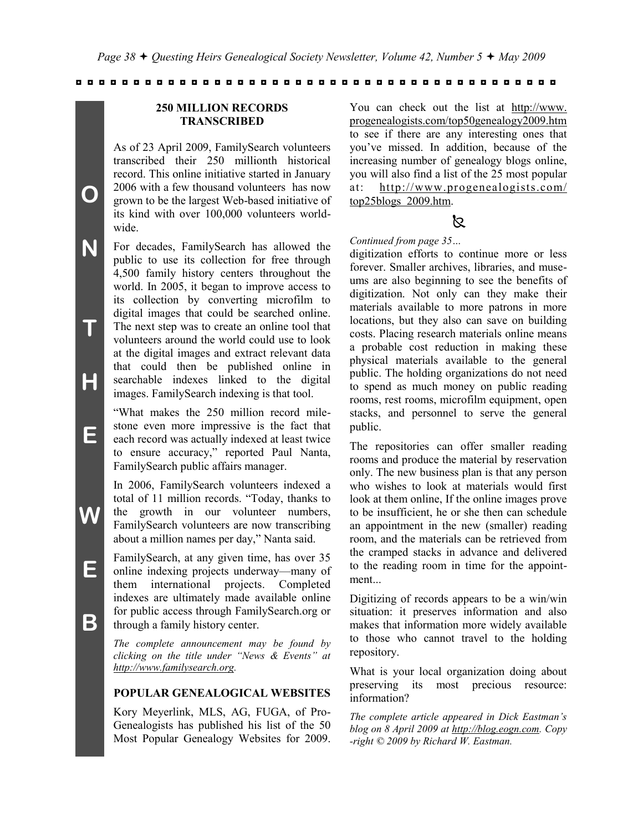# **250 MILLION RECORDS TRANSCRIBED**

As of 23 April 2009, FamilySearch volunteers transcribed their 250 millionth historical record. This online initiative started in January 2006 with a few thousand volunteers has now grown to be the largest Web-based initiative of its kind with over 100,000 volunteers worldwide.

**N T H** For decades, FamilySearch has allowed the public to use its collection for free through 4,500 family history centers throughout the world. In 2005, it began to improve access to its collection by converting microfilm to digital images that could be searched online. The next step was to create an online tool that volunteers around the world could use to look at the digital images and extract relevant data that could then be published online in searchable indexes linked to the digital images. FamilySearch indexing is that tool.

> ―What makes the 250 million record milestone even more impressive is the fact that each record was actually indexed at least twice to ensure accuracy," reported Paul Nanta, FamilySearch public affairs manager.

In 2006, FamilySearch volunteers indexed a total of 11 million records. "Today, thanks to the growth in our volunteer numbers, FamilySearch volunteers are now transcribing about a million names per day," Nanta said.

FamilySearch, at any given time, has over 35 online indexing projects underway—many of them international projects. Completed indexes are ultimately made available online for public access through FamilySearch.org or through a family history center.

*The complete announcement may be found by clicking on the title under "News & Events" at http://www.familysearch.org.*

# **POPULAR GENEALOGICAL WEBSITES**

Kory Meyerlink, MLS, AG, FUGA, of Pro-Genealogists has published his list of the 50 Most Popular Genealogy Websites for 2009.

You can check out the list at http://www. progenealogists.com/top50genealogy2009.htm to see if there are any interesting ones that you've missed. In addition, because of the increasing number of genealogy blogs online, you will also find a list of the 25 most popular at: http://www.progenealogists.com/ top25blogs 2009.htm.

# ß.

#### *Continued from page 35…*

digitization efforts to continue more or less forever. Smaller archives, libraries, and museums are also beginning to see the benefits of digitization. Not only can they make their materials available to more patrons in more locations, but they also can save on building costs. Placing research materials online means a probable cost reduction in making these physical materials available to the general public. The holding organizations do not need to spend as much money on public reading rooms, rest rooms, microfilm equipment, open stacks, and personnel to serve the general public.

The repositories can offer smaller reading rooms and produce the material by reservation only. The new business plan is that any person who wishes to look at materials would first look at them online, If the online images prove to be insufficient, he or she then can schedule an appointment in the new (smaller) reading room, and the materials can be retrieved from the cramped stacks in advance and delivered to the reading room in time for the appointment...

Digitizing of records appears to be a win/win situation: it preserves information and also makes that information more widely available to those who cannot travel to the holding repository.

What is your local organization doing about preserving its most precious resource: information?

*The complete article appeared in Dick Eastman's blog on 8 April 2009 at http://blog.eogn.com. Copy -right © 2009 by Richard W. Eastman.*

**E**

**B**

**W**

**E**

**O**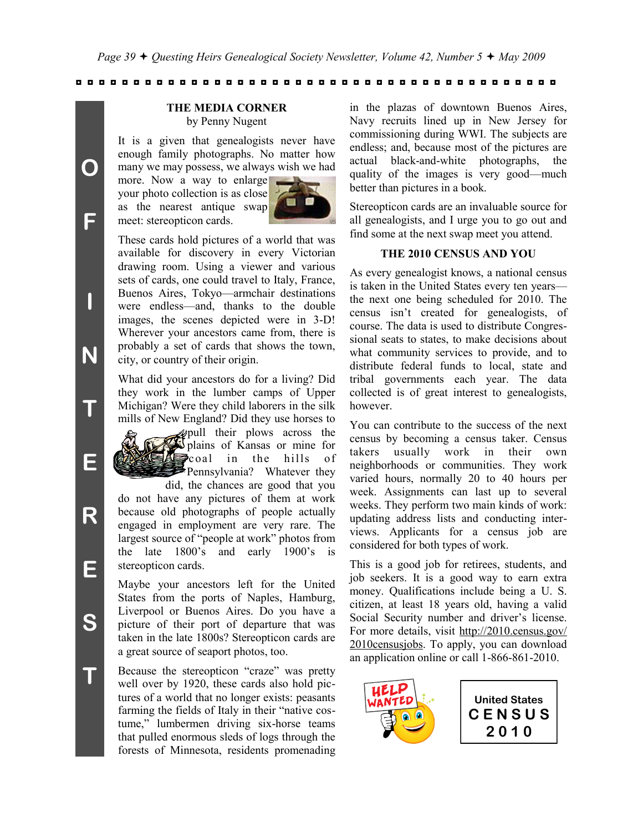#### **THE MEDIA CORNER** by Penny Nugent

It is a given that genealogists never have enough family photographs. No matter how many we may possess, we always wish we had

more. Now a way to enlarge your photo collection is as close as the nearest antique swap meet: stereopticon cards.



These cards hold pictures of a world that was available for discovery in every Victorian drawing room. Using a viewer and various sets of cards, one could travel to Italy, France, Buenos Aires, Tokyo—armchair destinations were endless—and, thanks to the double images, the scenes depicted were in 3-D! Wherever your ancestors came from, there is probably a set of cards that shows the town, city, or country of their origin.

What did your ancestors do for a living? Did they work in the lumber camps of Upper Michigan? Were they child laborers in the silk mills of New England? Did they use horses to



pull their plows across the plains of Kansas or mine for coal in the hills of Pennsylvania? Whatever they

did, the chances are good that you do not have any pictures of them at work because old photographs of people actually engaged in employment are very rare. The largest source of "people at work" photos from the late 1800's and early 1900's is stereopticon cards.

Maybe your ancestors left for the United States from the ports of Naples, Hamburg, Liverpool or Buenos Aires. Do you have a picture of their port of departure that was taken in the late 1800s? Stereopticon cards are a great source of seaport photos, too.

Because the stereopticon "craze" was pretty well over by 1920, these cards also hold pictures of a world that no longer exists: peasants farming the fields of Italy in their "native costume," lumbermen driving six-horse teams that pulled enormous sleds of logs through the forests of Minnesota, residents promenading

in the plazas of downtown Buenos Aires, Navy recruits lined up in New Jersey for commissioning during WWI. The subjects are endless; and, because most of the pictures are actual black-and-white photographs, the quality of the images is very good—much better than pictures in a book.

Stereopticon cards are an invaluable source for all genealogists, and I urge you to go out and find some at the next swap meet you attend.

## **THE 2010 CENSUS AND YOU**

As every genealogist knows, a national census is taken in the United States every ten years the next one being scheduled for 2010. The census isn't created for genealogists, of course. The data is used to distribute Congressional seats to states, to make decisions about what community services to provide, and to distribute federal funds to local, state and tribal governments each year. The data collected is of great interest to genealogists, however.

You can contribute to the success of the next census by becoming a census taker. Census takers usually work in their own neighborhoods or communities. They work varied hours, normally 20 to 40 hours per week. Assignments can last up to several weeks. They perform two main kinds of work: updating address lists and conducting interviews. Applicants for a census job are considered for both types of work.

This is a good job for retirees, students, and job seekers. It is a good way to earn extra money. Qualifications include being a U. S. citizen, at least 18 years old, having a valid Social Security number and driver's license. For more details, visit http://2010.census.gov/ 2010censusjobs. To apply, you can download an application online or call 1-866-861-2010.



**United States C E N S U S 2 0 1 0**

**S**

**T**

**O**

**F**

**I**

**N**